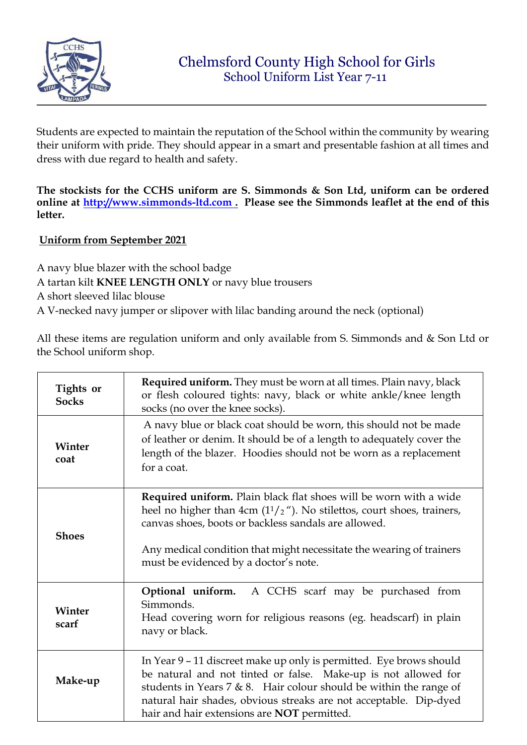

Students are expected to maintain the reputation of the School within the community by wearing their uniform with pride. They should appear in a smart and presentable fashion at all times and dress with due regard to health and safety.

**The stockists for the CCHS uniform are S. Simmonds & Son Ltd, uniform can be ordered online at [http://www.simmonds-ltd.com](http://www.simmonds-ltd.com/) [.](http://www.simmonds-ltd.com/) Please see the Simmonds leaflet at the end of this letter.**

## **Uniform from September 2021**

A navy blue blazer with the school badge

A tartan kilt **KNEE LENGTH ONLY** or navy blue trousers

- A short sleeved lilac blouse
- A V-necked navy jumper or slipover with lilac banding around the neck (optional)

All these items are regulation uniform and only available from S. Simmonds and & Son Ltd or the School uniform shop.

| Tights or<br><b>Socks</b> | Required uniform. They must be worn at all times. Plain navy, black<br>or flesh coloured tights: navy, black or white ankle/knee length<br>socks (no over the knee socks).                                                                                                                                                             |
|---------------------------|----------------------------------------------------------------------------------------------------------------------------------------------------------------------------------------------------------------------------------------------------------------------------------------------------------------------------------------|
| Winter<br>coat            | A navy blue or black coat should be worn, this should not be made<br>of leather or denim. It should be of a length to adequately cover the<br>length of the blazer. Hoodies should not be worn as a replacement<br>for a coat.                                                                                                         |
| <b>Shoes</b>              | <b>Required uniform.</b> Plain black flat shoes will be worn with a wide<br>heel no higher than 4cm $(11/2u)$ . No stilettos, court shoes, trainers,<br>canvas shoes, boots or backless sandals are allowed.<br>Any medical condition that might necessitate the wearing of trainers<br>must be evidenced by a doctor's note.          |
| Winter<br>scarf           | <b>Optional uniform.</b> A CCHS scarf may be purchased from<br>Simmonds.<br>Head covering worn for religious reasons (eg. headscarf) in plain<br>navy or black.                                                                                                                                                                        |
| Make-up                   | In Year 9 - 11 discreet make up only is permitted. Eye brows should<br>be natural and not tinted or false. Make-up is not allowed for<br>students in Years 7 & 8. Hair colour should be within the range of<br>natural hair shades, obvious streaks are not acceptable. Dip-dyed<br>hair and hair extensions are <b>NOT</b> permitted. |